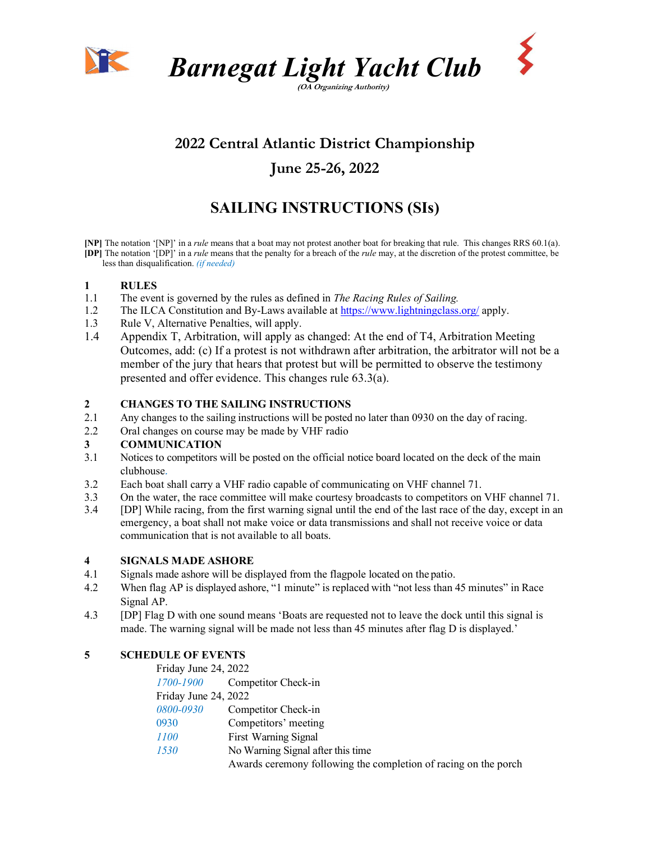



(OA Organizing Authority)

# 2022 Central Atlantic District Championship

## June 25-26, 2022

# SAILING INSTRUCTIONS (SIs)

[NP] The notation '[NP]' in a rule means that a boat may not protest another boat for breaking that rule. This changes RRS 60.1(a). [DP] The notation '[DP]' in a *rule* means that the penalty for a breach of the *rule* may, at the discretion of the protest committee, be less than disqualification. (if needed)

#### 1 RULES

- 1.1 The event is governed by the rules as defined in The Racing Rules of Sailing.
- 1.2 The ILCA Constitution and By-Laws available at https://www.lightningclass.org/ apply.
- 1.3 Rule V, Alternative Penalties, will apply.
- 1.4 Appendix T, Arbitration, will apply as changed: At the end of T4, Arbitration Meeting Outcomes, add: (c) If a protest is not withdrawn after arbitration, the arbitrator will not be a member of the jury that hears that protest but will be permitted to observe the testimony presented and offer evidence. This changes rule 63.3(a).

#### 2 CHANGES TO THE SAILING INSTRUCTIONS

- 2.1 Any changes to the sailing instructions will be posted no later than 0930 on the day of racing.
- 2.2 Oral changes on course may be made by VHF radio

#### 3 COMMUNICATION

- 3.1 Notices to competitors will be posted on the official notice board located on the deck of the main clubhouse.
- 3.2 Each boat shall carry a VHF radio capable of communicating on VHF channel 71.
- 3.3 On the water, the race committee will make courtesy broadcasts to competitors on VHF channel 71.<br>3.4 IDP1 While racing, from the first warning signal until the end of the last race of the day, except in an
- 3.4 [DP] While racing, from the first warning signal until the end of the last race of the day, except in an emergency, a boat shall not make voice or data transmissions and shall not receive voice or data communication that is not available to all boats.

#### 4 SIGNALS MADE ASHORE

- 4.1 Signals made ashore will be displayed from the flagpole located on the patio.
- 4.2 When flag AP is displayed ashore, "1 minute" is replaced with "not less than 45 minutes" in Race Signal AP.
- 4.3 [DP] Flag D with one sound means 'Boats are requested not to leave the dock until this signal is made. The warning signal will be made not less than 45 minutes after flag D is displayed.'

### 5 SCHEDULE OF EVENTS

| Friday June 24, 2022 |                                                                 |
|----------------------|-----------------------------------------------------------------|
| 1700-1900            | Competitor Check-in                                             |
| Friday June 24, 2022 |                                                                 |
| 0800-0930            | Competitor Check-in                                             |
| 0930                 | Competitors' meeting                                            |
| 1100                 | First Warning Signal                                            |
| 1530                 | No Warning Signal after this time                               |
|                      | Awards ceremony following the completion of racing on the porch |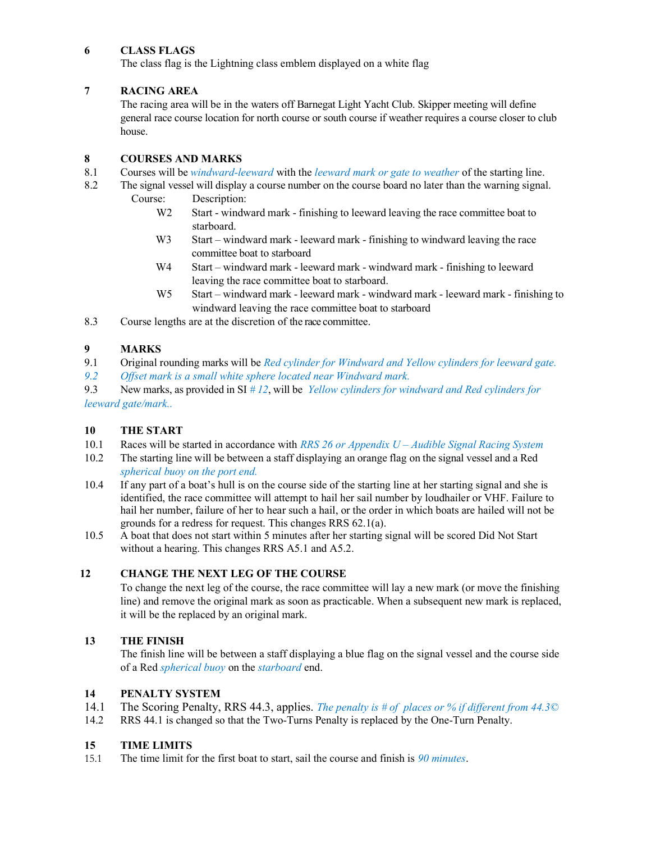#### 6 CLASS FLAGS

The class flag is the Lightning class emblem displayed on a white flag

#### 7 RACING AREA

 The racing area will be in the waters off Barnegat Light Yacht Club. Skipper meeting will define general race course location for north course or south course if weather requires a course closer to club house.

#### 8 COURSES AND MARKS

- 8.1 Courses will be *windward-leeward* with the *leeward mark or gate to weather* of the starting line.
- 8.2 The signal vessel will display a course number on the course board no later than the warning signal. Course: Description:
	- W<sub>2</sub> Start windward mark finishing to leeward leaving the race committee boat to starboard.
	- W<sub>3</sub> Start windward mark leeward mark finishing to windward leaving the race committee boat to starboard
	- W<sub>4</sub> Start windward mark leeward mark windward mark finishing to leeward leaving the race committee boat to starboard.
	- W5 Start windward mark leeward mark windward mark leeward mark finishing to windward leaving the race committee boat to starboard

8.3 Course lengths are at the discretion of the race committee.

#### 9 MARKS

9.1 Original rounding marks will be *Red cylinder for Windward and Yellow cylinders for leeward gate*.

9.2 Offset mark is a small white sphere located near Windward mark.

9.3 New marks, as provided in SI  $# 12$ , will be *Yellow cylinders for windward and Red cylinders for* leeward gate/mark..

#### 10 THE START

- 10.1 Races will be started in accordance with RRS 26 or Appendix  $U \Delta$ udible Signal Racing System
- 10.2 The starting line will be between a staff displaying an orange flag on the signal vessel and a Red spherical buoy on the port end.
- 10.4 If any part of a boat's hull is on the course side of the starting line at her starting signal and she is identified, the race committee will attempt to hail her sail number by loudhailer or VHF. Failure to hail her number, failure of her to hear such a hail, or the order in which boats are hailed will not be grounds for a redress for request. This changes RRS 62.1(a).
- 10.5 A boat that does not start within 5 minutes after her starting signal will be scored Did Not Start without a hearing. This changes RRS A5.1 and A5.2.

### 12 CHANGE THE NEXT LEG OF THE COURSE

To change the next leg of the course, the race committee will lay a new mark (or move the finishing line) and remove the original mark as soon as practicable. When a subsequent new mark is replaced, it will be the replaced by an original mark.

### 13 THE FINISH

 The finish line will be between a staff displaying a blue flag on the signal vessel and the course side of a Red *spherical buoy* on the *starboard* end.

#### 14 PENALTY SYSTEM

- 14.1 The Scoring Penalty, RRS 44.3, applies. The penalty is # of places or % if different from 44.3©
- 14.2 RRS 44.1 is changed so that the Two-Turns Penalty is replaced by the One-Turn Penalty.

#### 15 TIME LIMITS

15.1 The time limit for the first boat to start, sail the course and finish is 90 minutes.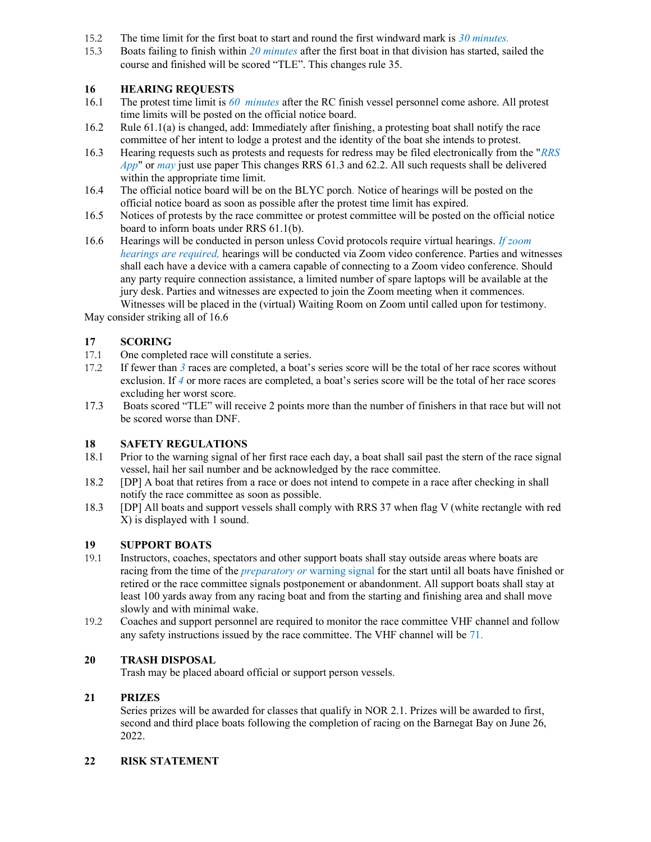- 15.2 The time limit for the first boat to start and round the first windward mark is  $30$  minutes.
- 15.3 Boats failing to finish within 20 minutes after the first boat in that division has started, sailed the course and finished will be scored "TLE". This changes rule 35.

#### 16 HEARING REQUESTS

- 16.1 The protest time limit is 60 minutes after the RC finish vessel personnel come ashore. All protest time limits will be posted on the official notice board.
- 16.2 Rule 61.1(a) is changed, add: Immediately after finishing, a protesting boat shall notify the race committee of her intent to lodge a protest and the identity of the boat she intends to protest.
- 16.3 Hearing requests such as protests and requests for redress may be filed electronically from the "RRS" App" or may just use paper This changes RRS 61.3 and 62.2. All such requests shall be delivered within the appropriate time limit.
- 16.4 The official notice board will be on the BLYC porch. Notice of hearings will be posted on the official notice board as soon as possible after the protest time limit has expired.
- 16.5 Notices of protests by the race committee or protest committee will be posted on the official notice board to inform boats under RRS 61.1(b).
- 16.6 Hearings will be conducted in person unless Covid protocols require virtual hearings. If  $zoom$ hearings are required, hearings will be conducted via Zoom video conference. Parties and witnesses shall each have a device with a camera capable of connecting to a Zoom video conference. Should any party require connection assistance, a limited number of spare laptops will be available at the jury desk. Parties and witnesses are expected to join the Zoom meeting when it commences. Witnesses will be placed in the (virtual) Waiting Room on Zoom until called upon for testimony.

May consider striking all of 16.6

#### 17 SCORING

- 17.1 One completed race will constitute a series.
- 17.2 If fewer than 3 races are completed, a boat's series score will be the total of her race scores without exclusion. If 4 or more races are completed, a boat's series score will be the total of her race scores excluding her worst score.
- 17.3 Boats scored "TLE" will receive 2 points more than the number of finishers in that race but will not be scored worse than DNF.

#### 18 SAFETY REGULATIONS

- 18.1 Prior to the warning signal of her first race each day, a boat shall sail past the stern of the race signal vessel, hail her sail number and be acknowledged by the race committee.
- 18.2 [DP] A boat that retires from a race or does not intend to compete in a race after checking in shall notify the race committee as soon as possible.
- 18.3 [DP] All boats and support vessels shall comply with RRS 37 when flag V (white rectangle with red X) is displayed with 1 sound.

#### 19 SUPPORT BOATS

- 19.1 Instructors, coaches, spectators and other support boats shall stay outside areas where boats are racing from the time of the *preparatory or* warning signal for the start until all boats have finished or retired or the race committee signals postponement or abandonment. All support boats shall stay at least 100 yards away from any racing boat and from the starting and finishing area and shall move slowly and with minimal wake.
- 19.2 Coaches and support personnel are required to monitor the race committee VHF channel and follow any safety instructions issued by the race committee. The VHF channel will be 71.

#### 20 TRASH DISPOSAL

Trash may be placed aboard official or support person vessels.

#### 21 PRIZES

Series prizes will be awarded for classes that qualify in NOR 2.1. Prizes will be awarded to first, second and third place boats following the completion of racing on the Barnegat Bay on June 26, 2022.

#### 22 RISK STATEMENT